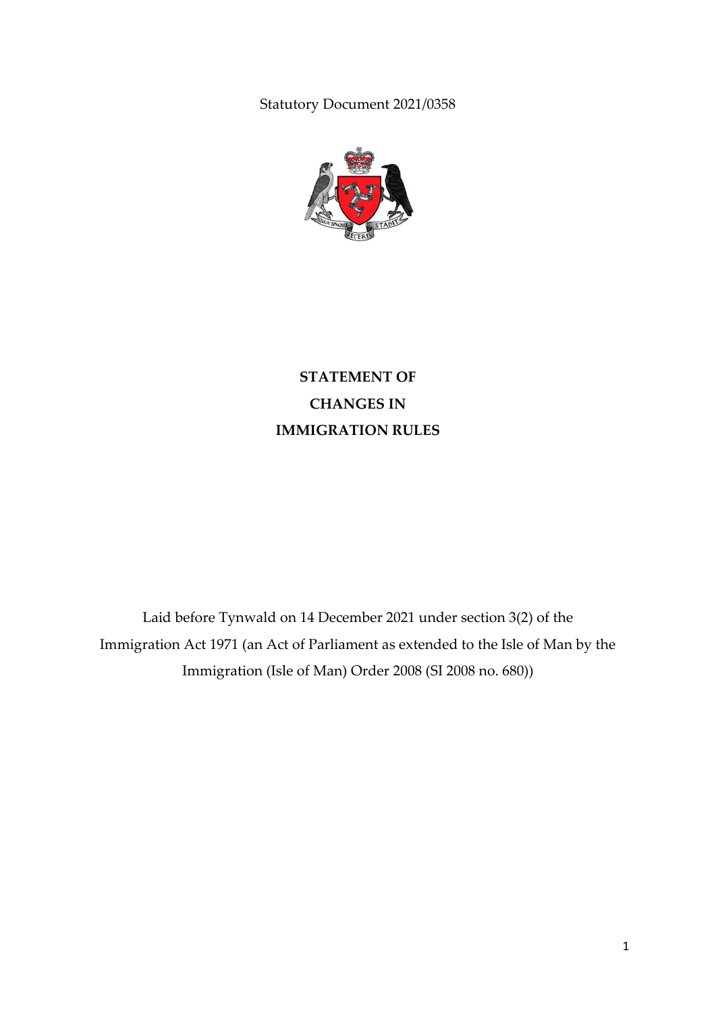Statutory Document 2021/0358



# **STATEMENT OF CHANGES IN IMMIGRATION RULES**

Laid before Tynwald on 14 December 2021 under section 3(2) of the Immigration Act 1971 (an Act of Parliament as extended to the Isle of Man by the Immigration (Isle of Man) Order 2008 (SI 2008 no. 680))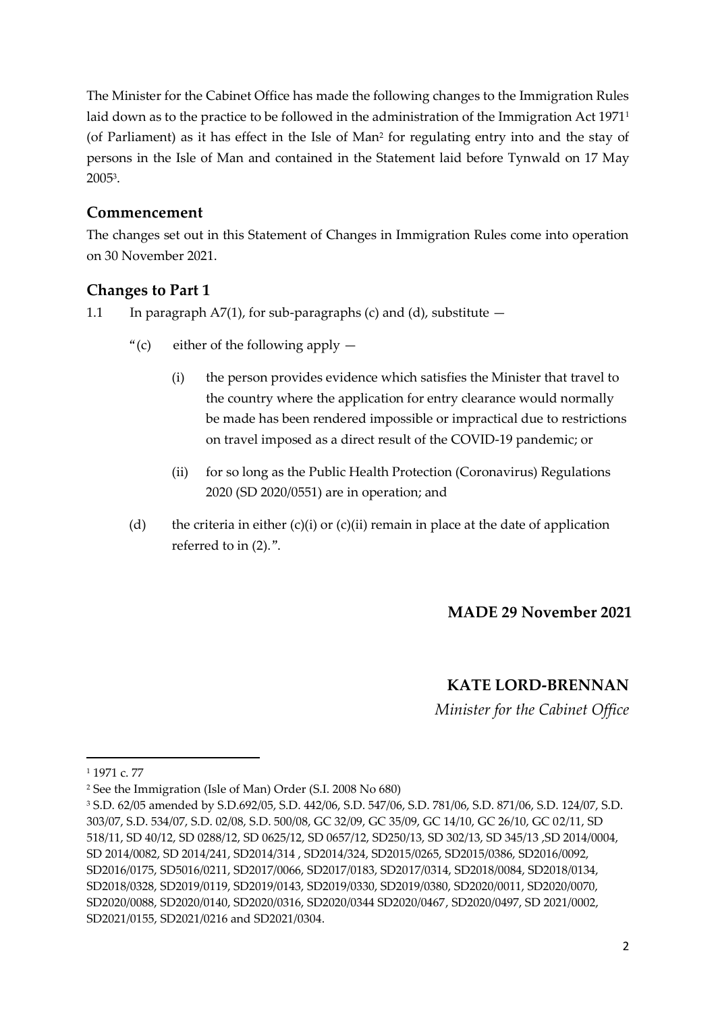The Minister for the Cabinet Office has made the following changes to the Immigration Rules laid down as to the practice to be followed in the administration of the Immigration Act 1971<sup>1</sup> (of Parliament) as it has effect in the Isle of Man<sup>2</sup> for regulating entry into and the stay of persons in the Isle of Man and contained in the Statement laid before Tynwald on 17 May 2005<sup>3</sup> .

### **Commencement**

The changes set out in this Statement of Changes in Immigration Rules come into operation on 30 November 2021.

## **Changes to Part 1**

- 1.1 In paragraph  $A7(1)$ , for sub-paragraphs (c) and (d), substitute  $-$ 
	- "(c) either of the following apply  $-$ 
		- (i) the person provides evidence which satisfies the Minister that travel to the country where the application for entry clearance would normally be made has been rendered impossible or impractical due to restrictions on travel imposed as a direct result of the COVID-19 pandemic; or
		- (ii) for so long as the Public Health Protection (Coronavirus) Regulations 2020 (SD 2020/0551) are in operation; and
	- (d) the criteria in either  $(c)(i)$  or  $(c)(ii)$  remain in place at the date of application referred to in (2).".

## **MADE 29 November 2021**

## **KATE LORD-BRENNAN**

*Minister for the Cabinet Office*

**.** 

<sup>1</sup> 1971 c. 77

<sup>2</sup> See the Immigration (Isle of Man) Order (S.I. 2008 No 680)

<sup>3</sup> S.D. 62/05 amended by S.D.692/05, S.D. 442/06, S.D. 547/06, S.D. 781/06, S.D. 871/06, S.D. 124/07, S.D. 303/07, S.D. 534/07, S.D. 02/08, S.D. 500/08, GC 32/09, GC 35/09, GC 14/10, GC 26/10, GC 02/11, SD 518/11, SD 40/12, SD 0288/12, SD 0625/12, SD 0657/12, SD250/13, SD 302/13, SD 345/13 ,SD 2014/0004, SD 2014/0082, SD 2014/241, SD2014/314 , SD2014/324, SD2015/0265, SD2015/0386, SD2016/0092, SD2016/0175, SD5016/0211, SD2017/0066, SD2017/0183, SD2017/0314, SD2018/0084, SD2018/0134, SD2018/0328, SD2019/0119, SD2019/0143, SD2019/0330, SD2019/0380, SD2020/0011, SD2020/0070, SD2020/0088, SD2020/0140, SD2020/0316, SD2020/0344 SD2020/0467, SD2020/0497, SD 2021/0002, SD2021/0155, SD2021/0216 and SD2021/0304.